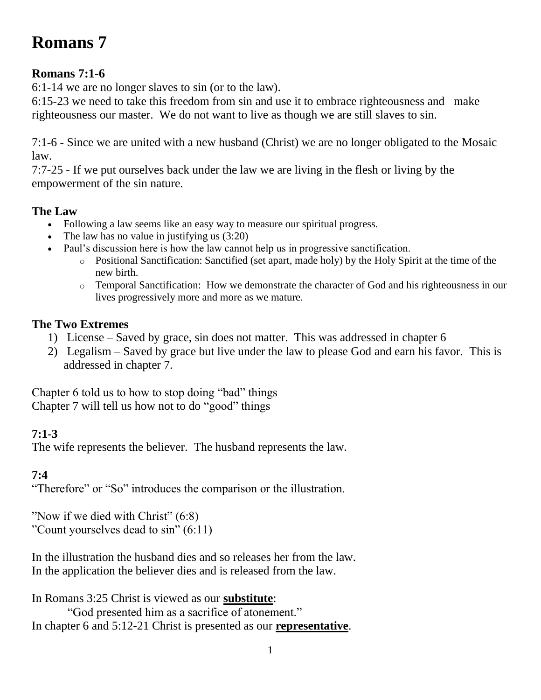# **Romans 7**

### **Romans 7:1-6**

6:1-14 we are no longer slaves to sin (or to the law).

6:15-23 we need to take this freedom from sin and use it to embrace righteousness and make righteousness our master. We do not want to live as though we are still slaves to sin.

7:1-6 - Since we are united with a new husband (Christ) we are no longer obligated to the Mosaic law.

7:7-25 - If we put ourselves back under the law we are living in the flesh or living by the empowerment of the sin nature.

### **The Law**

- Following a law seems like an easy way to measure our spiritual progress.
- The law has no value in justifying us  $(3:20)$
- Paul's discussion here is how the law cannot help us in progressive sanctification.
	- o Positional Sanctification: Sanctified (set apart, made holy) by the Holy Spirit at the time of the new birth.
	- o Temporal Sanctification: How we demonstrate the character of God and his righteousness in our lives progressively more and more as we mature.

### **The Two Extremes**

- 1) License Saved by grace, sin does not matter. This was addressed in chapter 6
- 2) Legalism Saved by grace but live under the law to please God and earn his favor. This is addressed in chapter 7.

Chapter 6 told us to how to stop doing "bad" things Chapter 7 will tell us how not to do "good" things

### **7:1-3**

The wife represents the believer. The husband represents the law.

### **7:4**

"Therefore" or "So" introduces the comparison or the illustration.

"Now if we died with Christ" (6:8) "Count yourselves dead to sin" (6:11)

In the illustration the husband dies and so releases her from the law. In the application the believer dies and is released from the law.

In Romans 3:25 Christ is viewed as our **substitute**: "God presented him as a sacrifice of atonement." In chapter 6 and 5:12-21 Christ is presented as our **representative**.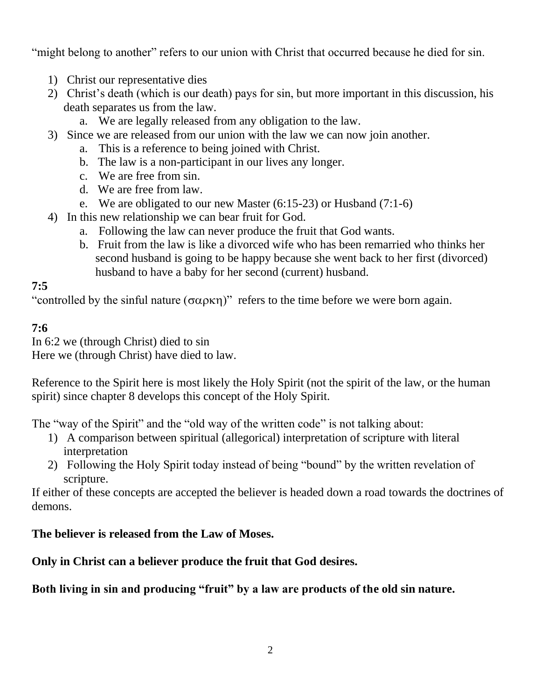"might belong to another" refers to our union with Christ that occurred because he died for sin.

- 1) Christ our representative dies
- 2) Christ's death (which is our death) pays for sin, but more important in this discussion, his death separates us from the law.
	- a. We are legally released from any obligation to the law.
- 3) Since we are released from our union with the law we can now join another.
	- a. This is a reference to being joined with Christ.
	- b. The law is a non-participant in our lives any longer.
	- c. We are free from sin.
	- d. We are free from law.
	- e. We are obligated to our new Master (6:15-23) or Husband (7:1-6)
- 4) In this new relationship we can bear fruit for God.
	- a. Following the law can never produce the fruit that God wants.
	- b. Fruit from the law is like a divorced wife who has been remarried who thinks her second husband is going to be happy because she went back to her first (divorced) husband to have a baby for her second (current) husband.

### **7:5**

"controlled by the sinful nature  $(\sigma \alpha \rho \kappa \eta)$ " refers to the time before we were born again.

### **7:6**

In 6:2 we (through Christ) died to sin

Here we (through Christ) have died to law.

Reference to the Spirit here is most likely the Holy Spirit (not the spirit of the law, or the human spirit) since chapter 8 develops this concept of the Holy Spirit.

The "way of the Spirit" and the "old way of the written code" is not talking about:

- 1) A comparison between spiritual (allegorical) interpretation of scripture with literal interpretation
- 2) Following the Holy Spirit today instead of being "bound" by the written revelation of scripture.

If either of these concepts are accepted the believer is headed down a road towards the doctrines of demons.

### **The believer is released from the Law of Moses.**

### **Only in Christ can a believer produce the fruit that God desires.**

**Both living in sin and producing "fruit" by a law are products of the old sin nature.**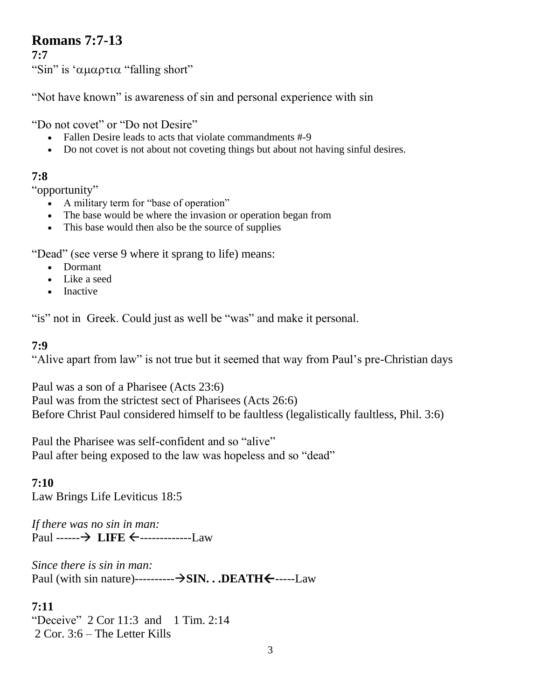# **Romans 7:7-13**

**7:7**

"Sin" is ' $\alpha\mu\alpha\rho\tau\iota\alpha$  "falling short"

"Not have known" is awareness of sin and personal experience with sin

"Do not covet" or "Do not Desire"

- Fallen Desire leads to acts that violate commandments #-9
- Do not covet is not about not coveting things but about not having sinful desires.

### **7:8**

"opportunity"

- A military term for "base of operation"
- The base would be where the invasion or operation began from
- This base would then also be the source of supplies

"Dead" (see verse 9 where it sprang to life) means:

- Dormant
- Like a seed
- Inactive

"is" not in Greek. Could just as well be "was" and make it personal.

### **7:9**

"Alive apart from law" is not true but it seemed that way from Paul's pre-Christian days

Paul was a son of a Pharisee (Acts 23:6) Paul was from the strictest sect of Pharisees (Acts 26:6) Before Christ Paul considered himself to be faultless (legalistically faultless, Phil. 3:6)

Paul the Pharisee was self-confident and so "alive" Paul after being exposed to the law was hopeless and so "dead"

**7:10** Law Brings Life Leviticus 18:5

*If there was no sin in man:* Paul ------ > LIFE  $\leftarrow$ -------------Law

*Since there is sin in man:* Paul (with sin nature)----------**--->SIN. . .DEATH** $\leftarrow$ -----Law

### **7:11**

"Deceive" 2 Cor 11:3 and 1 Tim. 2:14 2 Cor. 3:6 – The Letter Kills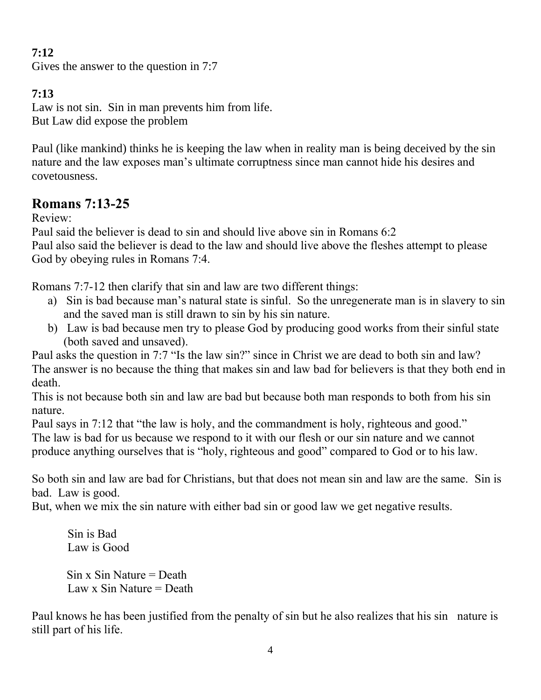### **7:12**

Gives the answer to the question in 7:7

### **7:13**

Law is not sin. Sin in man prevents him from life. But Law did expose the problem

Paul (like mankind) thinks he is keeping the law when in reality man is being deceived by the sin nature and the law exposes man's ultimate corruptness since man cannot hide his desires and covetousness.

# **Romans 7:13-25**

Review:

Paul said the believer is dead to sin and should live above sin in Romans 6:2 Paul also said the believer is dead to the law and should live above the fleshes attempt to please God by obeying rules in Romans 7:4.

Romans 7:7-12 then clarify that sin and law are two different things:

- a) Sin is bad because man's natural state is sinful. So the unregenerate man is in slavery to sin and the saved man is still drawn to sin by his sin nature.
- b) Law is bad because men try to please God by producing good works from their sinful state (both saved and unsaved).

Paul asks the question in 7:7 "Is the law sin?" since in Christ we are dead to both sin and law? The answer is no because the thing that makes sin and law bad for believers is that they both end in death.

This is not because both sin and law are bad but because both man responds to both from his sin nature.

Paul says in 7:12 that "the law is holy, and the commandment is holy, righteous and good." The law is bad for us because we respond to it with our flesh or our sin nature and we cannot produce anything ourselves that is "holy, righteous and good" compared to God or to his law.

So both sin and law are bad for Christians, but that does not mean sin and law are the same. Sin is bad. Law is good.

But, when we mix the sin nature with either bad sin or good law we get negative results.

 Sin is Bad Law is Good  $Sin x Sin Nature = Death$ 

Law  $x$  Sin Nature = Death

Paul knows he has been justified from the penalty of sin but he also realizes that his sin nature is still part of his life.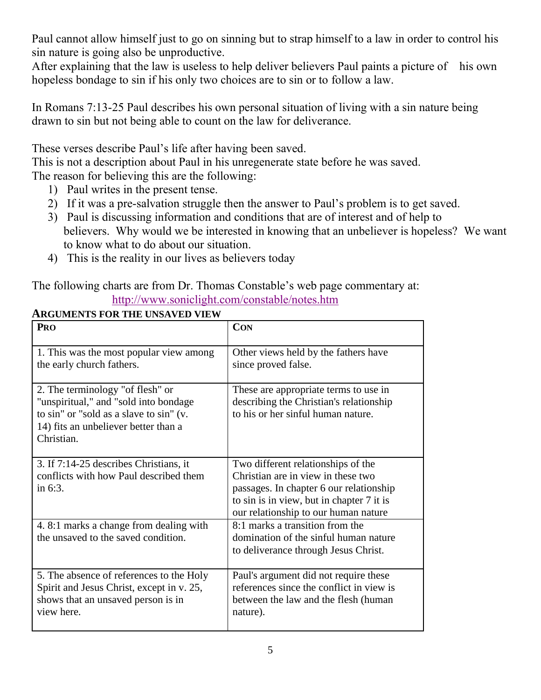Paul cannot allow himself just to go on sinning but to strap himself to a law in order to control his sin nature is going also be unproductive.

After explaining that the law is useless to help deliver believers Paul paints a picture of his own hopeless bondage to sin if his only two choices are to sin or to follow a law.

In Romans 7:13-25 Paul describes his own personal situation of living with a sin nature being drawn to sin but not being able to count on the law for deliverance.

These verses describe Paul's life after having been saved.

This is not a description about Paul in his unregenerate state before he was saved. The reason for believing this are the following:

- 1) Paul writes in the present tense.
- 2) If it was a pre-salvation struggle then the answer to Paul's problem is to get saved.
- 3) Paul is discussing information and conditions that are of interest and of help to believers. Why would we be interested in knowing that an unbeliever is hopeless? We want to know what to do about our situation.
- 4) This is the reality in our lives as believers today

#### The following charts are from Dr. Thomas Constable's web page commentary at: <http://www.soniclight.com/constable/notes.htm>

| PRO                                                                                                                                                                         | <b>CON</b>                                                                                                                                                                                               |
|-----------------------------------------------------------------------------------------------------------------------------------------------------------------------------|----------------------------------------------------------------------------------------------------------------------------------------------------------------------------------------------------------|
| 1. This was the most popular view among<br>the early church fathers.                                                                                                        | Other views held by the fathers have<br>since proved false.                                                                                                                                              |
| 2. The terminology "of flesh" or<br>"unspiritual," and "sold into bondage"<br>to sin" or "sold as a slave to sin" (v.<br>14) fits an unbeliever better than a<br>Christian. | These are appropriate terms to use in<br>describing the Christian's relationship<br>to his or her sinful human nature.                                                                                   |
| 3. If 7:14-25 describes Christians, it<br>conflicts with how Paul described them<br>in $6:3$ .                                                                              | Two different relationships of the<br>Christian are in view in these two<br>passages. In chapter 6 our relationship<br>to sin is in view, but in chapter 7 it is<br>our relationship to our human nature |
| 4.8:1 marks a change from dealing with<br>the unsaved to the saved condition.                                                                                               | 8:1 marks a transition from the<br>domination of the sinful human nature<br>to deliverance through Jesus Christ.                                                                                         |
| 5. The absence of references to the Holy<br>Spirit and Jesus Christ, except in v. 25,<br>shows that an unsaved person is in<br>view here.                                   | Paul's argument did not require these<br>references since the conflict in view is<br>between the law and the flesh (human<br>nature).                                                                    |

### **ARGUMENTS FOR THE UNSAVED VIEW**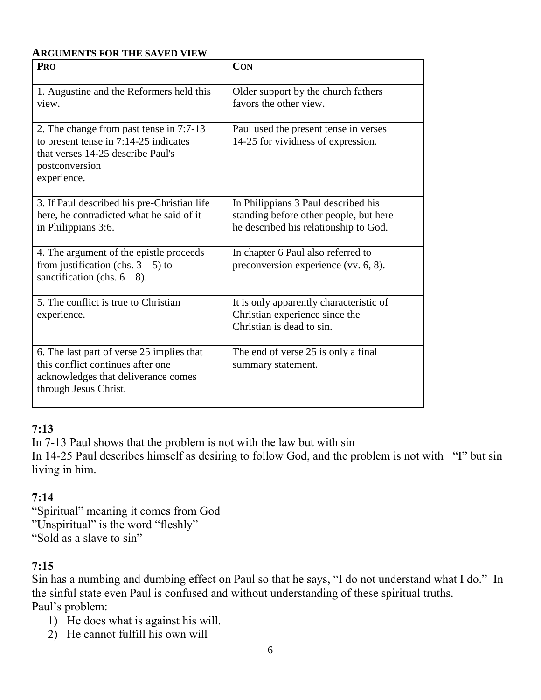#### **ARGUMENTS FOR THE SAVED VIEW**

| PRO                                                                                                                                                    | <b>CON</b>                                                                                                             |
|--------------------------------------------------------------------------------------------------------------------------------------------------------|------------------------------------------------------------------------------------------------------------------------|
| 1. Augustine and the Reformers held this<br>view.                                                                                                      | Older support by the church fathers<br>favors the other view.                                                          |
| 2. The change from past tense in 7:7-13<br>to present tense in 7:14-25 indicates<br>that verses 14-25 describe Paul's<br>postconversion<br>experience. | Paul used the present tense in verses<br>14-25 for vividness of expression.                                            |
| 3. If Paul described his pre-Christian life<br>here, he contradicted what he said of it<br>in Philippians 3:6.                                         | In Philippians 3 Paul described his<br>standing before other people, but here<br>he described his relationship to God. |
| 4. The argument of the epistle proceeds<br>from justification (chs. $3-5$ ) to<br>sanctification (chs. $6-8$ ).                                        | In chapter 6 Paul also referred to<br>preconversion experience (vv. 6, 8).                                             |
| 5. The conflict is true to Christian<br>experience.                                                                                                    | It is only apparently characteristic of<br>Christian experience since the<br>Christian is dead to sin.                 |
| 6. The last part of verse 25 implies that<br>this conflict continues after one<br>acknowledges that deliverance comes<br>through Jesus Christ.         | The end of verse 25 is only a final<br>summary statement.                                                              |

#### **7:13**

In 7-13 Paul shows that the problem is not with the law but with sin

In 14-25 Paul describes himself as desiring to follow God, and the problem is not with "I" but sin living in him.

### **7:14**

"Spiritual" meaning it comes from God "Unspiritual" is the word "fleshly" "Sold as a slave to sin"

### **7:15**

Sin has a numbing and dumbing effect on Paul so that he says, "I do not understand what I do." In the sinful state even Paul is confused and without understanding of these spiritual truths. Paul's problem:

- 1) He does what is against his will.
- 2) He cannot fulfill his own will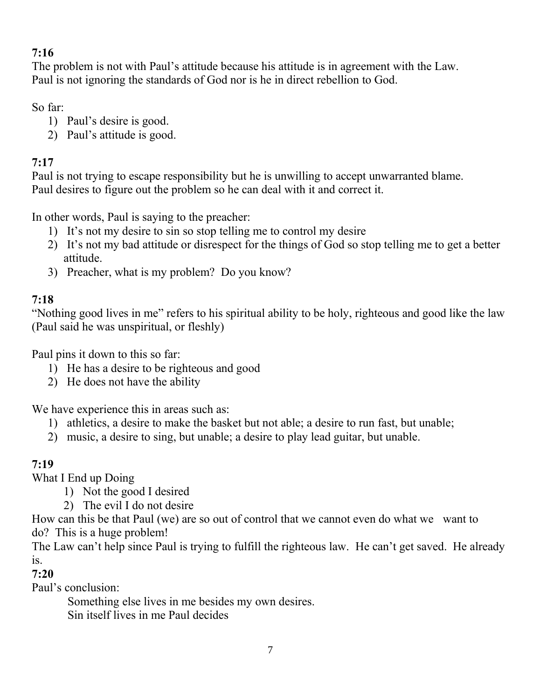### **7:16**

The problem is not with Paul's attitude because his attitude is in agreement with the Law. Paul is not ignoring the standards of God nor is he in direct rebellion to God.

So far:

- 1) Paul's desire is good.
- 2) Paul's attitude is good.

### **7:17**

Paul is not trying to escape responsibility but he is unwilling to accept unwarranted blame. Paul desires to figure out the problem so he can deal with it and correct it.

In other words, Paul is saying to the preacher:

- 1) It's not my desire to sin so stop telling me to control my desire
- 2) It's not my bad attitude or disrespect for the things of God so stop telling me to get a better attitude.
- 3) Preacher, what is my problem? Do you know?

### **7:18**

"Nothing good lives in me" refers to his spiritual ability to be holy, righteous and good like the law (Paul said he was unspiritual, or fleshly)

Paul pins it down to this so far:

- 1) He has a desire to be righteous and good
- 2) He does not have the ability

We have experience this in areas such as:

- 1) athletics, a desire to make the basket but not able; a desire to run fast, but unable;
- 2) music, a desire to sing, but unable; a desire to play lead guitar, but unable.

### **7:19**

What I End up Doing

- 1) Not the good I desired
- 2) The evil I do not desire

How can this be that Paul (we) are so out of control that we cannot even do what we want to do? This is a huge problem!

The Law can't help since Paul is trying to fulfill the righteous law. He can't get saved. He already is.

**7:20**

Paul's conclusion:

Something else lives in me besides my own desires.

Sin itself lives in me Paul decides